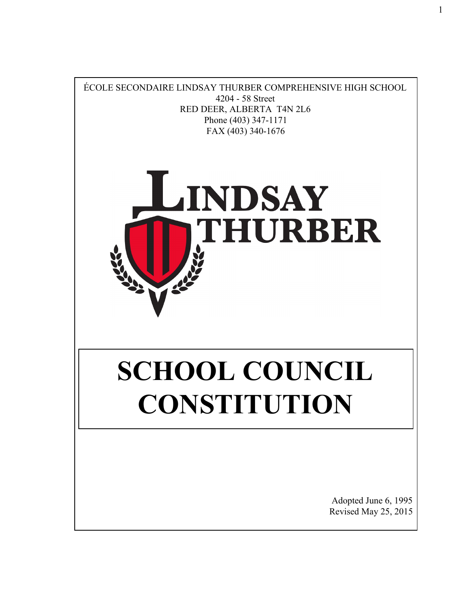

1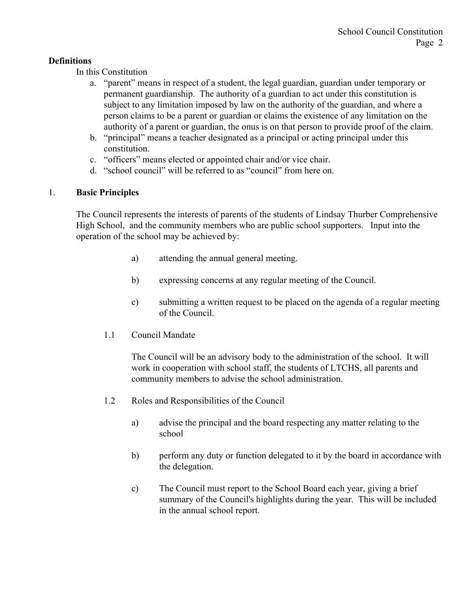## **Definitions**

In this Constitution

- a. "parent" means in respect of a student, the legal guardian, guardian under temporary or permanent guardianship. The authority of a guardian to act under this constitution is subject to any limitation imposed by law on the authority of the guardian, and where a person claims to be a parent or guardian or claims the existence of any limitation on the authority of a parent or guardian, the onus is on that person to provide proof of the claim.
- b. "principal" means a teacher designated as a principal or acting principal under this constitution.
- c. "officers" means elected or appointed chair and/or vice chair.
- d. "school council" will be referred to as "council" from here on.

## 1. **Basic Principles**

The Council represents the interests of parents of the students of Lindsay Thurber Comprehensive High School, and the community members who are public school supporters. Input into the operation of the school may be achieved by:

- a) attending the annual general meeting.
- b) expressing concerns at any regular meeting of the Council.
- c) submitting a written request to be placed on the agenda of a regular meeting of the Council.
- 1.1 Council Mandate

The Council will be an advisory body to the administration of the school. It will work in cooperation with school staff, the students of LTCHS, all parents and community members to advise the school administration.

- 1.2 Roles and Responsibilities of the Council
	- a) advise the principal and the board respecting any matter relating to the school
	- b) perform any duty or function delegated to it by the board in accordance with the delegation.
	- c) The Council must report to the School Board each year, giving a brief summary of the Council's highlights during the year. This will be included in the annual school report.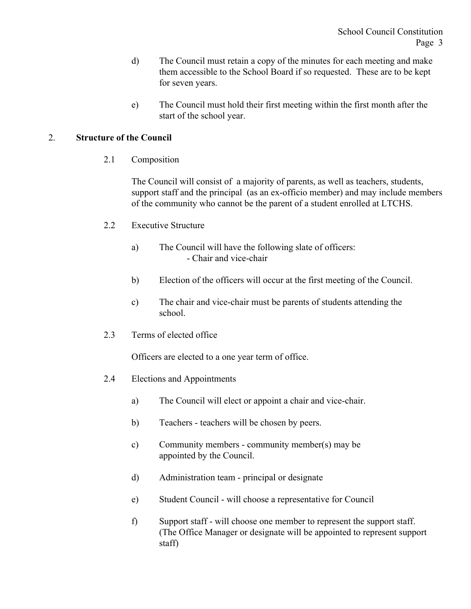- d) The Council must retain a copy of the minutes for each meeting and make them accessible to the School Board if so requested. These are to be kept for seven years.
- e) The Council must hold their first meeting within the first month after the start of the school year.

## 2. **Structure of the Council**

2.1 Composition

The Council will consist of a majority of parents, as well as teachers, students, support staff and the principal (as an ex-officio member) and may include members of the community who cannot be the parent of a student enrolled at LTCHS.

- 2.2 Executive Structure
	- a) The Council will have the following slate of officers: - Chair and vice-chair
	- b) Election of the officers will occur at the first meeting of the Council.
	- c) The chair and vice-chair must be parents of students attending the school.
- 2.3 Terms of elected office

Officers are elected to a one year term of office.

- 2.4 Elections and Appointments
	- a) The Council will elect or appoint a chair and vice-chair.
	- b) Teachers teachers will be chosen by peers.
	- c) Community members community member(s) may be appointed by the Council.
	- d) Administration team principal or designate
	- e) Student Council will choose a representative for Council
	- f) Support staff will choose one member to represent the support staff. (The Office Manager or designate will be appointed to represent support staff)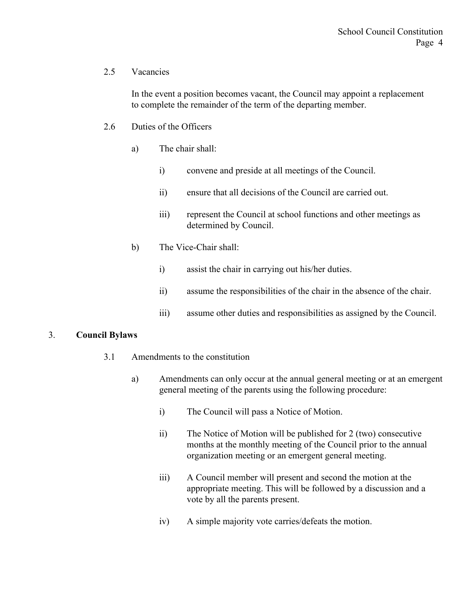## 2.5 Vacancies

In the event a position becomes vacant, the Council may appoint a replacement to complete the remainder of the term of the departing member.

### 2.6 Duties of the Officers

- a) The chair shall:
	- i) convene and preside at all meetings of the Council.
	- ii) ensure that all decisions of the Council are carried out.
	- iii) represent the Council at school functions and other meetings as determined by Council.
- b) The Vice-Chair shall:
	- i) assist the chair in carrying out his/her duties.
	- ii) assume the responsibilities of the chair in the absence of the chair.
	- iii) assume other duties and responsibilities as assigned by the Council.

#### 3. **Council Bylaws**

- 3.1 Amendments to the constitution
	- a) Amendments can only occur at the annual general meeting or at an emergent general meeting of the parents using the following procedure:
		- i) The Council will pass a Notice of Motion.
		- ii) The Notice of Motion will be published for 2 (two) consecutive months at the monthly meeting of the Council prior to the annual organization meeting or an emergent general meeting.
		- iii) A Council member will present and second the motion at the appropriate meeting. This will be followed by a discussion and a vote by all the parents present.
		- iv) A simple majority vote carries/defeats the motion.